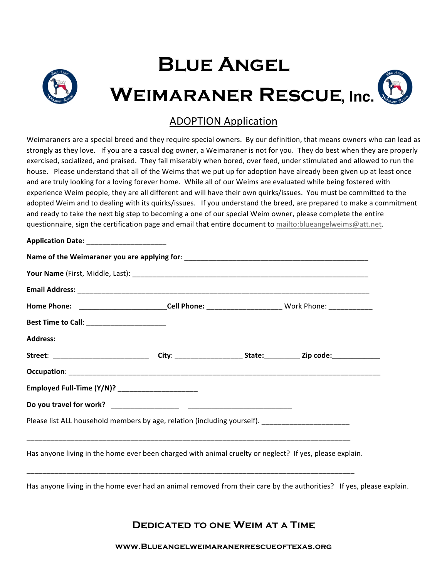# **Blue Angel Weimaraner Rescue , Inc.**

### ADOPTION Application

Weimaraners are a special breed and they require special owners. By our definition, that means owners who can lead as strongly as they love. If you are a casual dog owner, a Weimaraner is not for you. They do best when they are properly exercised, socialized, and praised. They fail miserably when bored, over feed, under stimulated and allowed to run the house. Please understand that all of the Weims that we put up for adoption have already been given up at least once and are truly looking for a loving forever home. While all of our Weims are evaluated while being fostered with experience Weim people, they are all different and will have their own quirks/issues. You must be committed to the adopted Weim and to dealing with its quirks/issues. If you understand the breed, are prepared to make a commitment and ready to take the next big step to becoming a one of our special Weim owner, please complete the entire questionnaire, sign the certification page and email that entire document to mailto:blueangelweims@att.net.

| Application Date: ________________________        |                                                                                                                |                                                                                                           |  |  |  |  |
|---------------------------------------------------|----------------------------------------------------------------------------------------------------------------|-----------------------------------------------------------------------------------------------------------|--|--|--|--|
|                                                   |                                                                                                                |                                                                                                           |  |  |  |  |
|                                                   |                                                                                                                |                                                                                                           |  |  |  |  |
|                                                   |                                                                                                                |                                                                                                           |  |  |  |  |
|                                                   |                                                                                                                | Home Phone: ____________________________Cell Phone: ___________________________Work Phone: ______________ |  |  |  |  |
| Best Time to Call: _________________________      |                                                                                                                |                                                                                                           |  |  |  |  |
| <b>Address:</b>                                   |                                                                                                                |                                                                                                           |  |  |  |  |
|                                                   | Street: ________________________________City: ________________________State:__________________________________ |                                                                                                           |  |  |  |  |
|                                                   |                                                                                                                |                                                                                                           |  |  |  |  |
| Employed Full-Time (Y/N)? _______________________ |                                                                                                                |                                                                                                           |  |  |  |  |
|                                                   |                                                                                                                |                                                                                                           |  |  |  |  |
|                                                   | Please list ALL household members by age, relation (including yourself). __________________________            |                                                                                                           |  |  |  |  |
|                                                   |                                                                                                                |                                                                                                           |  |  |  |  |
|                                                   | Has anyone living in the home ever been charged with animal cruelty or neglect? If yes, please explain.        |                                                                                                           |  |  |  |  |

Has anyone living in the home ever had an animal removed from their care by the authorities? If yes, please explain.

\_\_\_\_\_\_\_\_\_\_\_\_\_\_\_\_\_\_\_\_\_\_\_\_\_\_\_\_\_\_\_\_\_\_\_\_\_\_\_\_\_\_\_\_\_\_\_\_\_\_\_\_\_\_\_\_\_\_\_\_\_\_\_\_\_\_\_\_\_\_\_\_\_\_\_\_\_\_\_\_\_\_

**Dedicated to one Weim at a Time**

**www.Blueangelweimaranerrescueoftexas.org**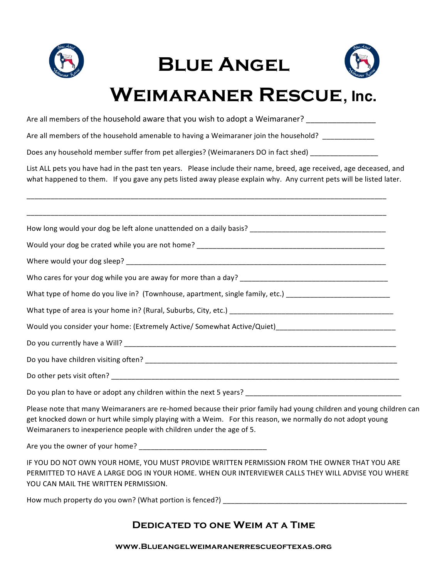

## **Blue Angel**



## **Weimaraner Rescue , Inc.**

Are all members of the household aware that you wish to adopt a Weimaraner? \_\_\_\_\_\_\_\_\_\_\_\_\_\_\_\_\_\_\_\_\_\_\_

Are all members of the household amenable to having a Weimaraner join the household?

Does any household member suffer from pet allergies? (Weimaraners DO in fact shed) \_\_\_\_\_\_\_\_\_\_\_\_\_\_\_\_

List ALL pets you have had in the past ten years. Please include their name, breed, age received, age deceased, and what happened to them. If you gave any pets listed away please explain why. Any current pets will be listed later.

\_\_\_\_\_\_\_\_\_\_\_\_\_\_\_\_\_\_\_\_\_\_\_\_\_\_\_\_\_\_\_\_\_\_\_\_\_\_\_\_\_\_\_\_\_\_\_\_\_\_\_\_\_\_\_\_\_\_\_\_\_\_\_\_\_\_\_\_\_\_\_\_\_\_\_\_\_\_\_\_\_\_\_\_\_\_\_\_\_\_

| What type of home do you live in? (Townhouse, apartment, single family, etc.) ________________________________ |
|----------------------------------------------------------------------------------------------------------------|
|                                                                                                                |
| Would you consider your home: (Extremely Active/ Somewhat Active/Quiet)_____________________________           |
|                                                                                                                |
|                                                                                                                |
|                                                                                                                |
|                                                                                                                |

Please note that many Weimaraners are re-homed because their prior family had young children and young children can get knocked down or hurt while simply playing with a Weim. For this reason, we normally do not adopt young Weimaraners to inexperience people with children under the age of 5.

Are you the owner of your home? \_\_\_\_\_\_\_\_\_\_\_\_\_\_\_\_\_\_\_\_\_\_\_\_\_\_\_\_\_\_\_\_

IF YOU DO NOT OWN YOUR HOME, YOU MUST PROVIDE WRITTEN PERMISSION FROM THE OWNER THAT YOU ARE PERMITTED TO HAVE A LARGE DOG IN YOUR HOME. WHEN OUR INTERVIEWER CALLS THEY WILL ADVISE YOU WHERE YOU CAN MAIL THE WRITTEN PERMISSION.

How much property do you own? (What portion is fenced?) \_\_\_\_\_\_\_\_\_\_\_\_\_\_\_\_\_\_\_\_\_\_\_\_\_\_\_\_\_\_\_\_\_\_\_\_\_\_\_\_\_\_\_\_\_\_

### **Dedicated to one Weim at a Time**

#### **www.Blueangelweimaranerrescueoftexas.org**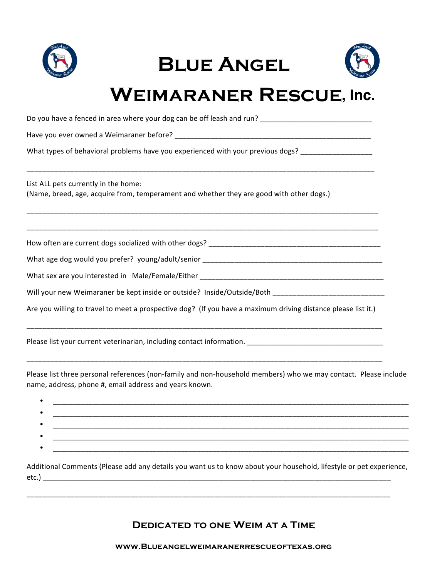

|  | <b>BLUE ANGEL</b> |
|--|-------------------|
|--|-------------------|



## **Weimaraner Rescue , Inc.**

| Do you have a fenced in area where your dog can be off leash and run? ______________________________                             |  |  |  |  |
|----------------------------------------------------------------------------------------------------------------------------------|--|--|--|--|
|                                                                                                                                  |  |  |  |  |
| What types of behavioral problems have you experienced with your previous dogs? ___________________                              |  |  |  |  |
| List ALL pets currently in the home:<br>(Name, breed, age, acquire from, temperament and whether they are good with other dogs.) |  |  |  |  |
|                                                                                                                                  |  |  |  |  |
|                                                                                                                                  |  |  |  |  |
|                                                                                                                                  |  |  |  |  |
|                                                                                                                                  |  |  |  |  |
| Will your new Weimaraner be kept inside or outside? Inside/Outside/Both ____________________________                             |  |  |  |  |
| Are you willing to travel to meet a prospective dog? (If you have a maximum driving distance please list it.)                    |  |  |  |  |
|                                                                                                                                  |  |  |  |  |

Please list your current veterinarian, including contact information. \_\_\_\_\_\_\_\_\_\_\_\_\_\_\_\_\_\_\_\_\_\_\_\_\_\_\_\_\_\_\_\_\_\_

Please list three personal references (non-family and non-household members) who we may contact. Please include name, address, phone #, email address and years known.

\_\_\_\_\_\_\_\_\_\_\_\_\_\_\_\_\_\_\_\_\_\_\_\_\_\_\_\_\_\_\_\_\_\_\_\_\_\_\_\_\_\_\_\_\_\_\_\_\_\_\_\_\_\_\_\_\_\_\_\_\_\_\_\_\_\_\_\_\_\_\_\_\_\_\_\_\_\_\_\_\_\_\_\_\_\_\_\_\_

Additional Comments (Please add any details you want us to know about your household, lifestyle or pet experience, etc.) \_\_\_\_\_\_\_\_\_\_\_\_\_\_\_\_\_\_\_\_\_\_\_\_\_\_\_\_\_\_\_\_\_\_\_\_\_\_\_\_\_\_\_\_\_\_\_\_\_\_\_\_\_\_\_\_\_\_\_\_\_\_\_\_\_\_\_\_\_\_\_\_\_\_\_\_\_\_\_\_\_\_\_\_\_\_\_

\_\_\_\_\_\_\_\_\_\_\_\_\_\_\_\_\_\_\_\_\_\_\_\_\_\_\_\_\_\_\_\_\_\_\_\_\_\_\_\_\_\_\_\_\_\_\_\_\_\_\_\_\_\_\_\_\_\_\_\_\_\_\_\_\_\_\_\_\_\_\_\_\_\_\_\_\_\_\_\_\_\_\_\_\_\_\_\_\_\_\_

### **Dedicated to one Weim at a Time**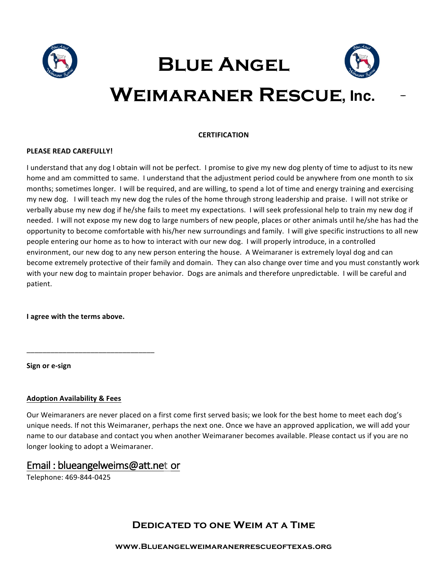





## WEIMARANER RESCUE, Inc.

#### **CERTIFICATION**

#### **PLEASE READ CAREFULLY!**

I understand that any dog I obtain will not be perfect. I promise to give my new dog plenty of time to adjust to its new home and am committed to same. I understand that the adjustment period could be anywhere from one month to six months; sometimes longer. I will be required, and are willing, to spend a lot of time and energy training and exercising my new dog. I will teach my new dog the rules of the home through strong leadership and praise. I will not strike or verbally abuse my new dog if he/she fails to meet my expectations. I will seek professional help to train my new dog if needed. I will not expose my new dog to large numbers of new people, places or other animals until he/she has had the opportunity to become comfortable with his/her new surroundings and family. I will give specific instructions to all new people entering our home as to how to interact with our new dog. I will properly introduce, in a controlled environment, our new dog to any new person entering the house. A Weimaraner is extremely loyal dog and can become extremely protective of their family and domain. They can also change over time and you must constantly work with your new dog to maintain proper behavior. Dogs are animals and therefore unpredictable. I will be careful and patient.

**I** agree with the terms above.

\_\_\_\_\_\_\_\_\_\_\_\_\_\_\_\_\_\_\_\_\_\_\_\_\_\_\_\_\_\_\_\_

**Sign or e-sign**

#### **Adoption Availability & Fees**

Our Weimaraners are never placed on a first come first served basis; we look for the best home to meet each dog's unique needs. If not this Weimaraner, perhaps the next one. Once we have an approved application, we will add your name to our database and contact you when another Weimaraner becomes available. Please contact us if you are no longer looking to adopt a Weimaraner.

### Email : blueangelweims@att.net or

Telephone: 469-844-0425

### **Dedicated to one Weim at a Time**